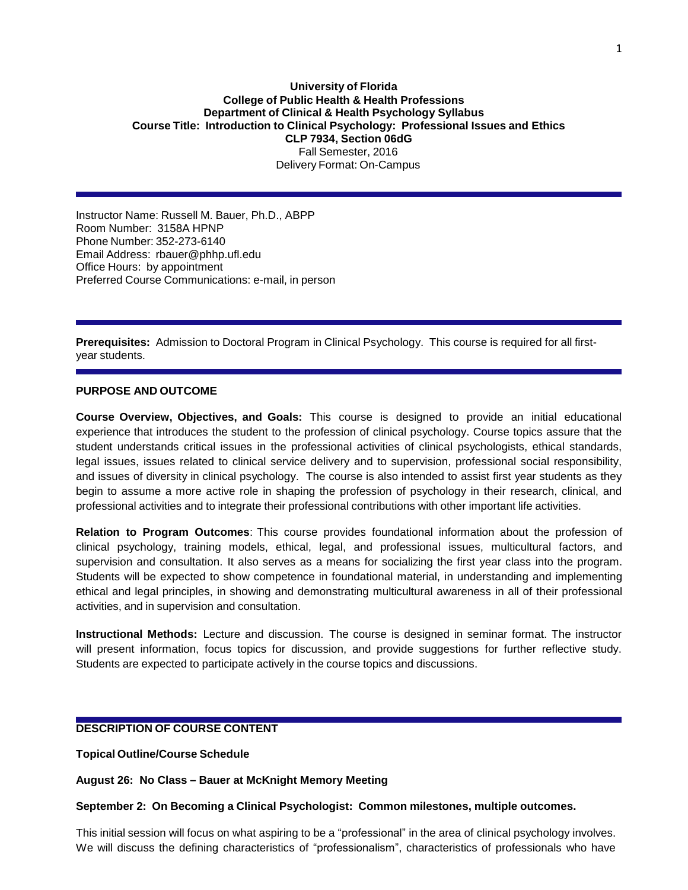### **University of Florida College of Public Health & Health Professions Department of Clinical & Health Psychology Syllabus Course Title: Introduction to Clinical Psychology: Professional Issues and Ethics CLP 7934, Section 06dG** Fall Semester, 2016 Delivery Format: On-Campus

Instructor Name: Russell M. Bauer, Ph.D., ABPP Room Number: 3158A HPNP Phone Number: 352-273-6140 Email Address: [rbauer@phhp.ufl.edu](mailto:rbauer@phhp.ufl.edu) Office Hours: by appointment Preferred Course Communications: e-mail, in person

**Prerequisites:** Admission to Doctoral Program in Clinical Psychology. This course is required for all firstyear students.

#### **PURPOSE AND OUTCOME**

**Course Overview, Objectives, and Goals:** This course is designed to provide an initial educational experience that introduces the student to the profession of clinical psychology. Course topics assure that the student understands critical issues in the professional activities of clinical psychologists, ethical standards, legal issues, issues related to clinical service delivery and to supervision, professional social responsibility, and issues of diversity in clinical psychology. The course is also intended to assist first year students as they begin to assume a more active role in shaping the profession of psychology in their research, clinical, and professional activities and to integrate their professional contributions with other important life activities.

**Relation to Program Outcomes**: This course provides foundational information about the profession of clinical psychology, training models, ethical, legal, and professional issues, multicultural factors, and supervision and consultation. It also serves as a means for socializing the first year class into the program. Students will be expected to show competence in foundational material, in understanding and implementing ethical and legal principles, in showing and demonstrating multicultural awareness in all of their professional activities, and in supervision and consultation.

**Instructional Methods:** Lecture and discussion. The course is designed in seminar format. The instructor will present information, focus topics for discussion, and provide suggestions for further reflective study. Students are expected to participate actively in the course topics and discussions.

## **DESCRIPTION OF COURSE CONTENT**

**Topical Outline/Course Schedule**

**August 26: No Class – Bauer at McKnight Memory Meeting**

#### **September 2: On Becoming a Clinical Psychologist: Common milestones, multiple outcomes.**

This initial session will focus on what aspiring to be a "professional" in the area of clinical psychology involves. We will discuss the defining characteristics of "professionalism", characteristics of professionals who have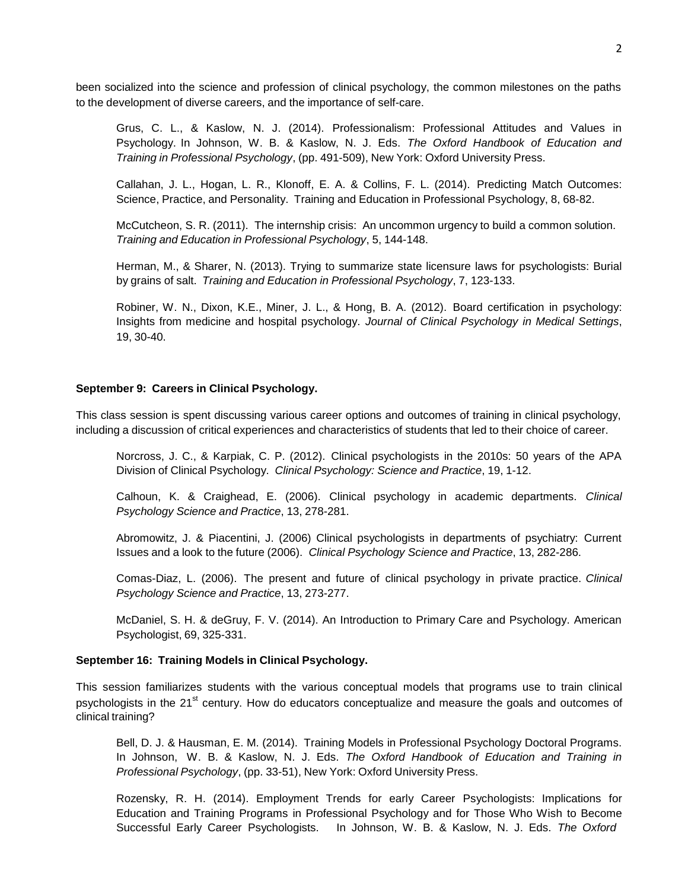been socialized into the science and profession of clinical psychology, the common milestones on the paths to the development of diverse careers, and the importance of self-care.

Grus, C. L., & Kaslow, N. J. (2014). Professionalism: Professional Attitudes and Values in Psychology. In Johnson, W. B. & Kaslow, N. J. Eds. *The Oxford Handbook of Education and Training in Professional Psychology*, (pp. 491-509), New York: Oxford University Press.

Callahan, J. L., Hogan, L. R., Klonoff, E. A. & Collins, F. L. (2014). Predicting Match Outcomes: Science, Practice, and Personality. Training and Education in Professional Psychology, 8, 68-82.

McCutcheon, S. R. (2011). The internship crisis: An uncommon urgency to build a common solution. *Training and Education in Professional Psychology*, 5, 144-148.

Herman, M., & Sharer, N. (2013). Trying to summarize state licensure laws for psychologists: Burial by grains of salt. *Training and Education in Professional Psychology*, 7, 123-133.

Robiner, W. N., Dixon, K.E., Miner, J. L., & Hong, B. A. (2012). Board certification in psychology: Insights from medicine and hospital psychology. *Journal of Clinical Psychology in Medical Settings*, 19, 30-40.

## **September 9: Careers in Clinical Psychology.**

This class session is spent discussing various career options and outcomes of training in clinical psychology, including a discussion of critical experiences and characteristics of students that led to their choice of career.

Norcross, J. C., & Karpiak, C. P. (2012). Clinical psychologists in the 2010s: 50 years of the APA Division of Clinical Psychology. *Clinical Psychology: Science and Practice*, 19, 1-12.

Calhoun, K. & Craighead, E. (2006). Clinical psychology in academic departments. *Clinical Psychology Science and Practice*, 13, 278-281.

Abromowitz, J. & Piacentini, J. (2006) Clinical psychologists in departments of psychiatry: Current Issues and a look to the future (2006). *Clinical Psychology Science and Practice*, 13, 282-286.

Comas-Diaz, L. (2006). The present and future of clinical psychology in private practice. *Clinical Psychology Science and Practice*, 13, 273-277.

McDaniel, S. H. & deGruy, F. V. (2014). An Introduction to Primary Care and Psychology. American Psychologist, 69, 325-331.

### **September 16: Training Models in Clinical Psychology.**

This session familiarizes students with the various conceptual models that programs use to train clinical psychologists in the 21<sup>st</sup> century. How do educators conceptualize and measure the goals and outcomes of clinical training?

Bell, D. J. & Hausman, E. M. (2014). Training Models in Professional Psychology Doctoral Programs. In Johnson, W. B. & Kaslow, N. J. Eds. *The Oxford Handbook of Education and Training in Professional Psychology*, (pp. 33-51), New York: Oxford University Press.

Rozensky, R. H. (2014). Employment Trends for early Career Psychologists: Implications for Education and Training Programs in Professional Psychology and for Those Who Wish to Become Successful Early Career Psychologists. In Johnson, W. B. & Kaslow, N. J. Eds. *The Oxford*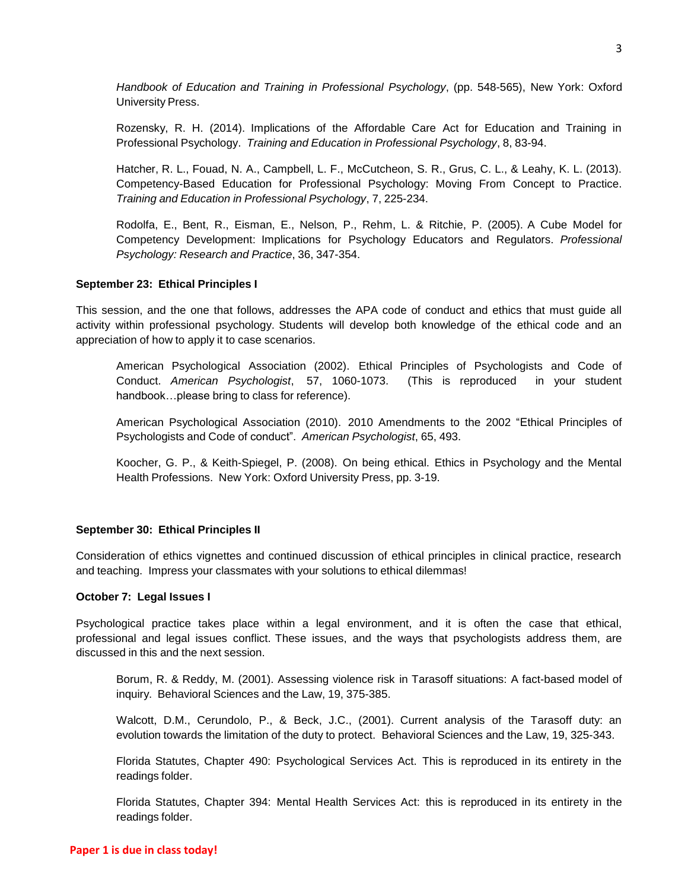*Handbook of Education and Training in Professional Psychology*, (pp. 548-565), New York: Oxford University Press.

Rozensky, R. H. (2014). Implications of the Affordable Care Act for Education and Training in Professional Psychology. *Training and Education in Professional Psychology*, 8, 83-94.

Hatcher, R. L., Fouad, N. A., Campbell, L. F., McCutcheon, S. R., Grus, C. L., & Leahy, K. L. (2013). Competency-Based Education for Professional Psychology: Moving From Concept to Practice. *Training and Education in Professional Psychology*, 7, 225-234.

Rodolfa, E., Bent, R., Eisman, E., Nelson, P., Rehm, L. & Ritchie, P. (2005). A Cube Model for Competency Development: Implications for Psychology Educators and Regulators. *Professional Psychology: Research and Practice*, 36, 347-354.

## **September 23: Ethical Principles I**

This session, and the one that follows, addresses the APA code of conduct and ethics that must guide all activity within professional psychology. Students will develop both knowledge of the ethical code and an appreciation of how to apply it to case scenarios.

American Psychological Association (2002). Ethical Principles of Psychologists and Code of Conduct. *American Psychologist*, 57, 1060-1073. (This is reproduced in your student handbook…please bring to class for reference).

American Psychological Association (2010). 2010 Amendments to the 2002 "Ethical Principles of Psychologists and Code of conduct". *American Psychologist*, 65, 493.

Koocher, G. P., & Keith-Spiegel, P. (2008). On being ethical. Ethics in Psychology and the Mental Health Professions. New York: Oxford University Press, pp. 3-19.

# **September 30: Ethical Principles II**

Consideration of ethics vignettes and continued discussion of ethical principles in clinical practice, research and teaching. Impress your classmates with your solutions to ethical dilemmas!

## **October 7: Legal Issues I**

Psychological practice takes place within a legal environment, and it is often the case that ethical, professional and legal issues conflict. These issues, and the ways that psychologists address them, are discussed in this and the next session.

Borum, R. & Reddy, M. (2001). Assessing violence risk in Tarasoff situations: A fact-based model of inquiry. Behavioral Sciences and the Law, 19, 375-385.

Walcott, D.M., Cerundolo, P., & Beck, J.C., (2001). Current analysis of the Tarasoff duty: an evolution towards the limitation of the duty to protect. Behavioral Sciences and the Law, 19, 325-343.

Florida Statutes, Chapter 490: Psychological Services Act. This is reproduced in its entirety in the readings folder.

Florida Statutes, Chapter 394: Mental Health Services Act: this is reproduced in its entirety in the readings folder.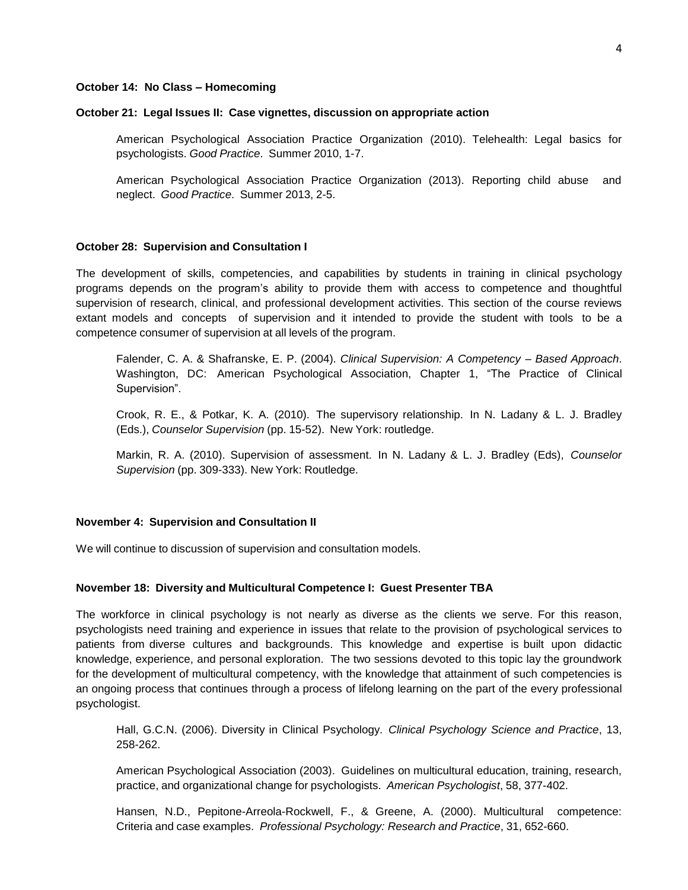### **October 14: No Class – Homecoming**

#### **October 21: Legal Issues II: Case vignettes, discussion on appropriate action**

American Psychological Association Practice Organization (2010). Telehealth: Legal basics for psychologists. *Good Practice*. Summer 2010, 1-7.

American Psychological Association Practice Organization (2013). Reporting child abuse and neglect. *Good Practice*. Summer 2013, 2-5.

#### **October 28: Supervision and Consultation I**

The development of skills, competencies, and capabilities by students in training in clinical psychology programs depends on the program's ability to provide them with access to competence and thoughtful supervision of research, clinical, and professional development activities. This section of the course reviews extant models and concepts of supervision and it intended to provide the student with tools to be a competence consumer of supervision at all levels of the program.

Falender, C. A. & Shafranske, E. P. (2004). *Clinical Supervision: A Competency – Based Approach*. Washington, DC: American Psychological Association, Chapter 1, "The Practice of Clinical Supervision".

Crook, R. E., & Potkar, K. A. (2010). The supervisory relationship. In N. Ladany & L. J. Bradley (Eds.), *Counselor Supervision* (pp. 15-52). New York: routledge.

Markin, R. A. (2010). Supervision of assessment. In N. Ladany & L. J. Bradley (Eds), *Counselor Supervision* (pp. 309-333). New York: Routledge.

#### **November 4: Supervision and Consultation II**

We will continue to discussion of supervision and consultation models.

#### **November 18: Diversity and Multicultural Competence I: Guest Presenter TBA**

The workforce in clinical psychology is not nearly as diverse as the clients we serve. For this reason, psychologists need training and experience in issues that relate to the provision of psychological services to patients from diverse cultures and backgrounds. This knowledge and expertise is built upon didactic knowledge, experience, and personal exploration. The two sessions devoted to this topic lay the groundwork for the development of multicultural competency, with the knowledge that attainment of such competencies is an ongoing process that continues through a process of lifelong learning on the part of the every professional psychologist.

Hall, G.C.N. (2006). Diversity in Clinical Psychology. *Clinical Psychology Science and Practice*, 13, 258-262.

American Psychological Association (2003). Guidelines on multicultural education, training, research, practice, and organizational change for psychologists. *American Psychologist*, 58, 377-402.

Hansen, N.D., Pepitone-Arreola-Rockwell, F., & Greene, A. (2000). Multicultural competence: Criteria and case examples. *Professional Psychology: Research and Practice*, 31, 652-660.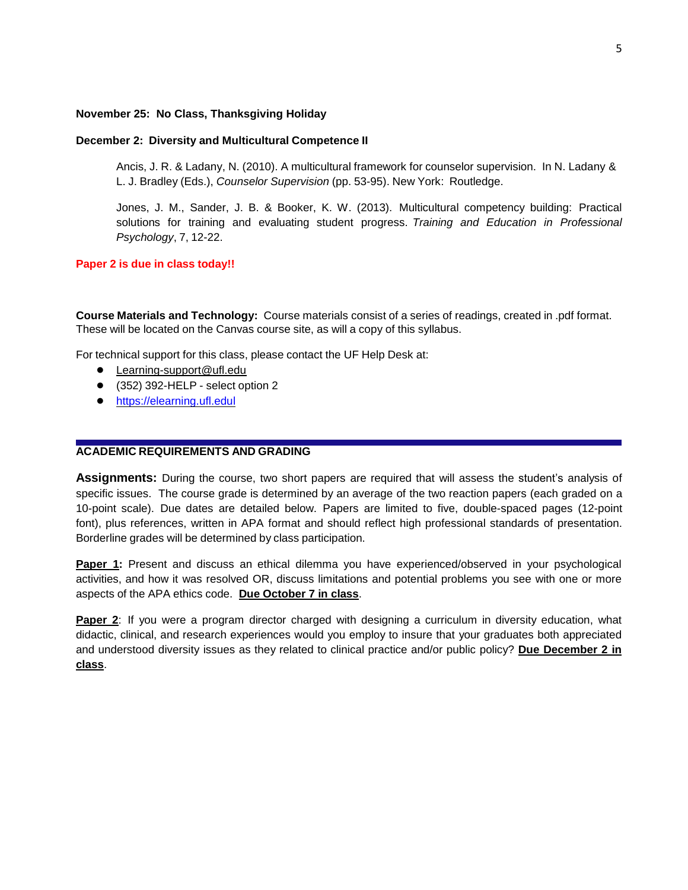### **November 25: No Class, Thanksgiving Holiday**

### **December 2: Diversity and Multicultural Competence II**

Ancis, J. R. & Ladany, N. (2010). A multicultural framework for counselor supervision. In N. Ladany & L. J. Bradley (Eds.), *Counselor Supervision* (pp. 53-95). New York: Routledge.

Jones, J. M., Sander, J. B. & Booker, K. W. (2013). Multicultural competency building: Practical solutions for training and evaluating student progress. *Training and Education in Professional Psychology*, 7, 12-22.

### **Paper 2 is due in class today!!**

**Course Materials and Technology:** Course materials consist of a series of readings, created in .pdf format. These will be located on the Canvas course site, as will a copy of this syllabus.

For technical support for this class, please contact the UF Help Desk at:

- [Learning-support@ufl.edu](mailto:Learning-support@ufl.edu)
- (352) 392-HELP select option 2
- [https://elearning.ufl.edul](https://elearning.ufl.edul/)

# **ACADEMIC REQUIREMENTS AND GRADING**

**Assignments:** During the course, two short papers are required that will assess the student's analysis of specific issues. The course grade is determined by an average of the two reaction papers (each graded on a 10-point scale). Due dates are detailed below. Papers are limited to five, double-spaced pages (12-point font), plus references, written in APA format and should reflect high professional standards of presentation. Borderline grades will be determined by class participation.

**Paper 1:** Present and discuss an ethical dilemma you have experienced/observed in your psychological activities, and how it was resolved OR, discuss limitations and potential problems you see with one or more aspects of the APA ethics code. **Due October 7 in class**.

**Paper 2**: If you were a program director charged with designing a curriculum in diversity education, what didactic, clinical, and research experiences would you employ to insure that your graduates both appreciated and understood diversity issues as they related to clinical practice and/or public policy? **Due December 2 in class**.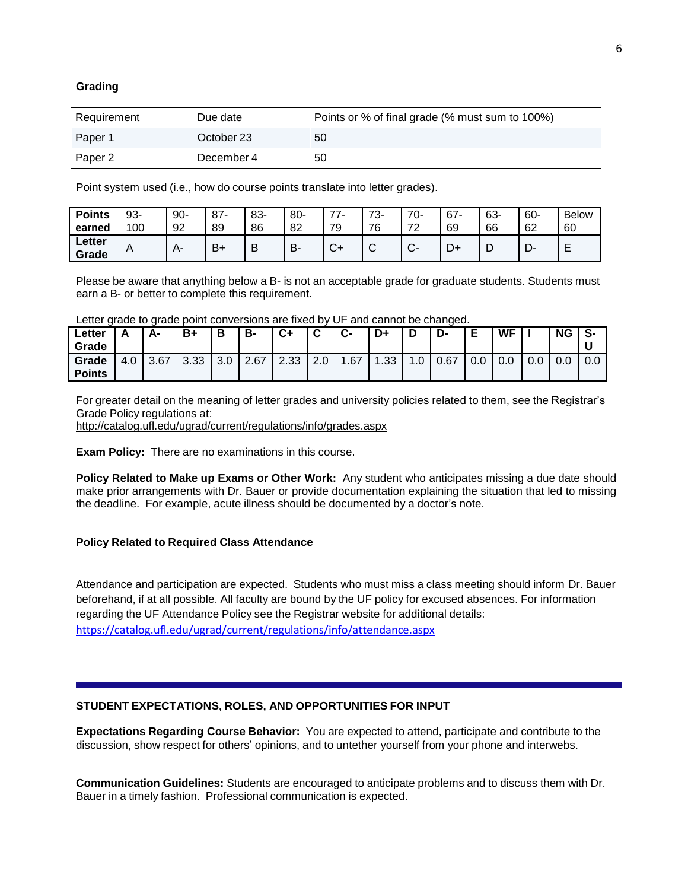## **Grading**

| Requirement | Due date   | Points or % of final grade (% must sum to 100%) |
|-------------|------------|-------------------------------------------------|
| Paper 1     | October 23 | 50                                              |
| Paper 2     | December 4 | 50                                              |

Point system used (i.e., how do course points translate into letter grades).

| <b>Points</b><br>earned | 93-<br>00 | $90-$<br>92 | $87 -$<br>89 | 83-<br>86 | 80-<br>82 | ––<br>70             | 70<br>∼-<br>ັ<br>76<br>u | 70-<br>70<br><u>.</u>  | 67<br>69 | 63-<br>66 | 60-<br>62 | <b>Below</b><br>60 |
|-------------------------|-----------|-------------|--------------|-----------|-----------|----------------------|--------------------------|------------------------|----------|-----------|-----------|--------------------|
| ∟etter<br>Grade         | A         | д.          | $B+$         | ∽<br>◡    | D<br>D.   | $\mathbf{\check{v}}$ | ⌒<br>ັ                   | $\sim$<br>$\mathbf{v}$ | D+       | ٮ         | ∍<br>ֿיש  | -<br>-<br>-        |

Please be aware that anything below a B- is not an acceptable grade for graduate students. Students must earn a B- or better to complete this requirement.

|  |  |  |  |  |  | Letter grade to grade point conversions are fixed by UF and cannot be changed. |  |
|--|--|--|--|--|--|--------------------------------------------------------------------------------|--|
|--|--|--|--|--|--|--------------------------------------------------------------------------------|--|

| ∟etter<br>Grade        |     | А-   | B+            | D   | B-   | C+   | ⌒<br>ື          | ◠<br>v- | D+   | D   | D-   | Е   | <b>WF</b> |     | <b>NG</b> | S-  |
|------------------------|-----|------|---------------|-----|------|------|-----------------|---------|------|-----|------|-----|-----------|-----|-----------|-----|
| Grade<br><b>Points</b> | 4.0 | 3.67 | ാ ാാ<br>ິບ.ບບ | 3.0 | 2.67 | 2.33 | $\Omega$<br>z.u | .67     | 1.33 | 1.0 | 0.67 | 0.0 | 0.0       | v.v | 0.0       | 0.0 |

For greater detail on the meaning of letter grades and university policies related to them, see the Registrar's Grade Policy regulations at:

<http://catalog.ufl.edu/ugrad/current/regulations/info/grades.aspx>

**Exam Policy:** There are no examinations in this course.

**Policy Related to Make up Exams or Other Work:** Any student who anticipates missing a due date should make prior arrangements with Dr. Bauer or provide documentation explaining the situation that led to missing the deadline. For example, acute illness should be documented by a doctor's note.

## **Policy Related to Required Class Attendance**

Attendance and participation are expected. Students who must miss a class meeting should inform Dr. Bauer beforehand, if at all possible. All faculty are bound by the UF policy for excused absences. For information regarding the UF Attendance Policy see the Registrar website for additional details: <https://catalog.ufl.edu/ugrad/current/regulations/info/attendance.aspx>

## **STUDENT EXPECTATIONS, ROLES, AND OPPORTUNITIES FOR INPUT**

**Expectations Regarding Course Behavior:** You are expected to attend, participate and contribute to the discussion, show respect for others' opinions, and to untether yourself from your phone and interwebs.

**Communication Guidelines:** Students are encouraged to anticipate problems and to discuss them with Dr. Bauer in a timely fashion. Professional communication is expected.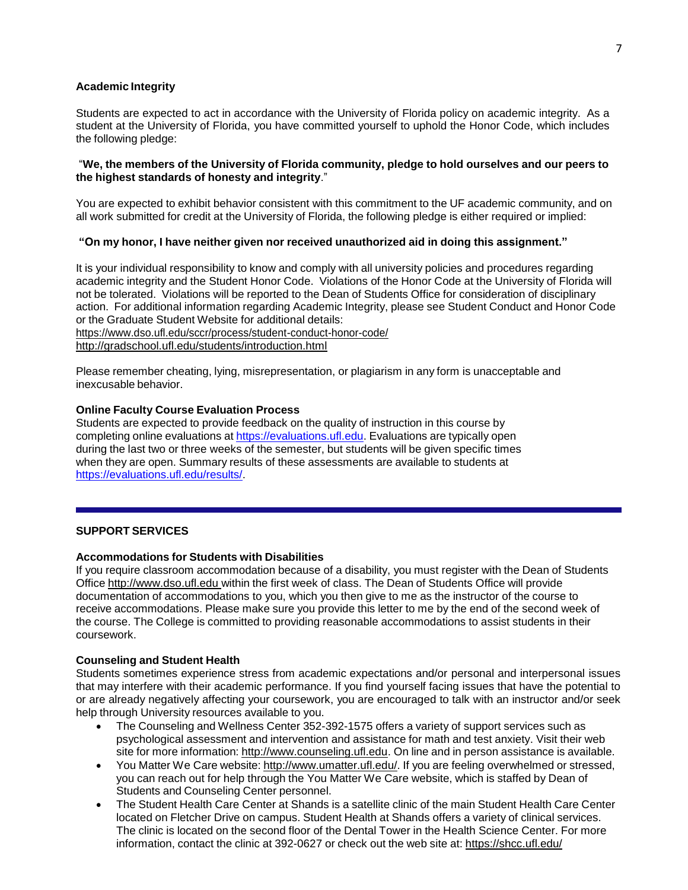## **Academic Integrity**

Students are expected to act in accordance with the University of Florida policy on academic integrity. As a student at the University of Florida, you have committed yourself to uphold the Honor Code, which includes the following pledge:

### "**We, the members of the University of Florida community, pledge to hold ourselves and our peers to the highest standards of honesty and integrity**."

You are expected to exhibit behavior consistent with this commitment to the UF academic community, and on all work submitted for credit at the University of Florida, the following pledge is either required or implied:

## **"On my honor, I have neither given nor received unauthorized aid in doing this assignment."**

It is your individual responsibility to know and comply with all university policies and procedures regarding academic integrity and the Student Honor Code. Violations of the Honor Code at the University of Florida will not be tolerated. Violations will be reported to the Dean of Students Office for consideration of disciplinary action. For additional information regarding Academic Integrity, please see Student Conduct and Honor Code or the Graduate Student Website for additional details: <https://www.dso.ufl.edu/sccr/process/student-conduct-honor-code/>

<http://gradschool.ufl.edu/students/introduction.html>

Please remember cheating, lying, misrepresentation, or plagiarism in any form is unacceptable and inexcusable behavior.

## **Online Faculty Course Evaluation Process**

Students are expected to provide feedback on the quality of instruction in this course by completing online evaluations at [https://evaluations.ufl.edu.](https://evaluations.ufl.edu/) Evaluations are typically open during the last two or three weeks of the semester, but students will be given specific times when they are open. Summary results of these assessments are available to students at [https://evaluations.ufl.edu/results/.](https://evaluations.ufl.edu/results/)

## **SUPPORT SERVICES**

## **Accommodations for Students with Disabilities**

If you require classroom accommodation because of a disability, you must register with the Dean of Students Office [http://www.dso.ufl.edu](http://www.dso.ufl.edu/) within the first week of class. The Dean of Students Office will provide documentation of accommodations to you, which you then give to me as the instructor of the course to receive accommodations. Please make sure you provide this letter to me by the end of the second week of the course. The College is committed to providing reasonable accommodations to assist students in their coursework.

### **Counseling and Student Health**

Students sometimes experience stress from academic expectations and/or personal and interpersonal issues that may interfere with their academic performance. If you find yourself facing issues that have the potential to or are already negatively affecting your coursework, you are encouraged to talk with an instructor and/or seek help through University resources available to you.

- The Counseling and Wellness Center 352-392-1575 offers a variety of support services such as psychological assessment and intervention and assistance for math and test anxiety. Visit their web site for more information: [http://www.counseling.ufl.edu.](http://www.counseling.ufl.edu/) On line and in person assistance is available.
- You Matter We Care website: [http://www.umatter.ufl.edu/.](http://www.umatter.ufl.edu/) If you are feeling overwhelmed or stressed, you can reach out for help through the You Matter We Care website, which is staffed by Dean of Students and Counseling Center personnel.
- The Student Health Care Center at Shands is a satellite clinic of the main Student Health Care Center located on Fletcher Drive on campus. Student Health at Shands offers a variety of clinical services. The clinic is located on the second floor of the Dental Tower in the Health Science Center. For more information, contact the clinic at 392-0627 or check out the web site at: <https://shcc.ufl.edu/>